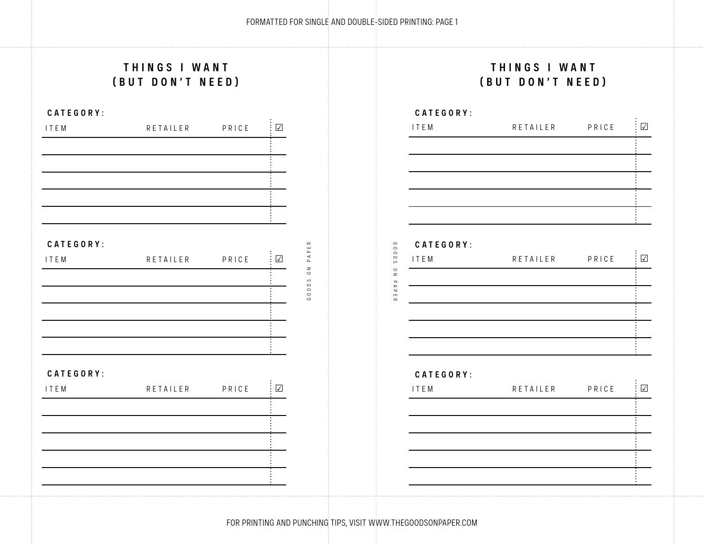GOODS ON PAPER

# **THINGS I WANT (BUT DON'T NEED)**

#### **CATEGORY:**



### **THINGS I WANT (BUT DON'T NEED)**

| CATEGORY: |          |       |               |
|-----------|----------|-------|---------------|
| ITEM      | RETAILER | PRICE | $\sqrt{}$     |
|           |          |       |               |
|           |          |       |               |
|           |          |       |               |
|           |          |       |               |
|           |          |       |               |
| CATEGORY: |          |       |               |
| ITEM      | RETAILER | PRICE | $\colon \Box$ |
|           |          |       |               |
|           |          |       |               |
|           |          |       |               |
|           |          |       |               |
|           |          |       |               |
| CATEGORY: |          |       |               |
| ITEM      | RETAILER | PRICE | $\sqrt{ }$    |
|           |          |       |               |
|           |          |       |               |
|           |          |       |               |
|           |          |       |               |
|           |          |       |               |

FOR PRINTING AND PUNCHING TIPS, VISIT WWW.THEGOODSONPAPER.COM